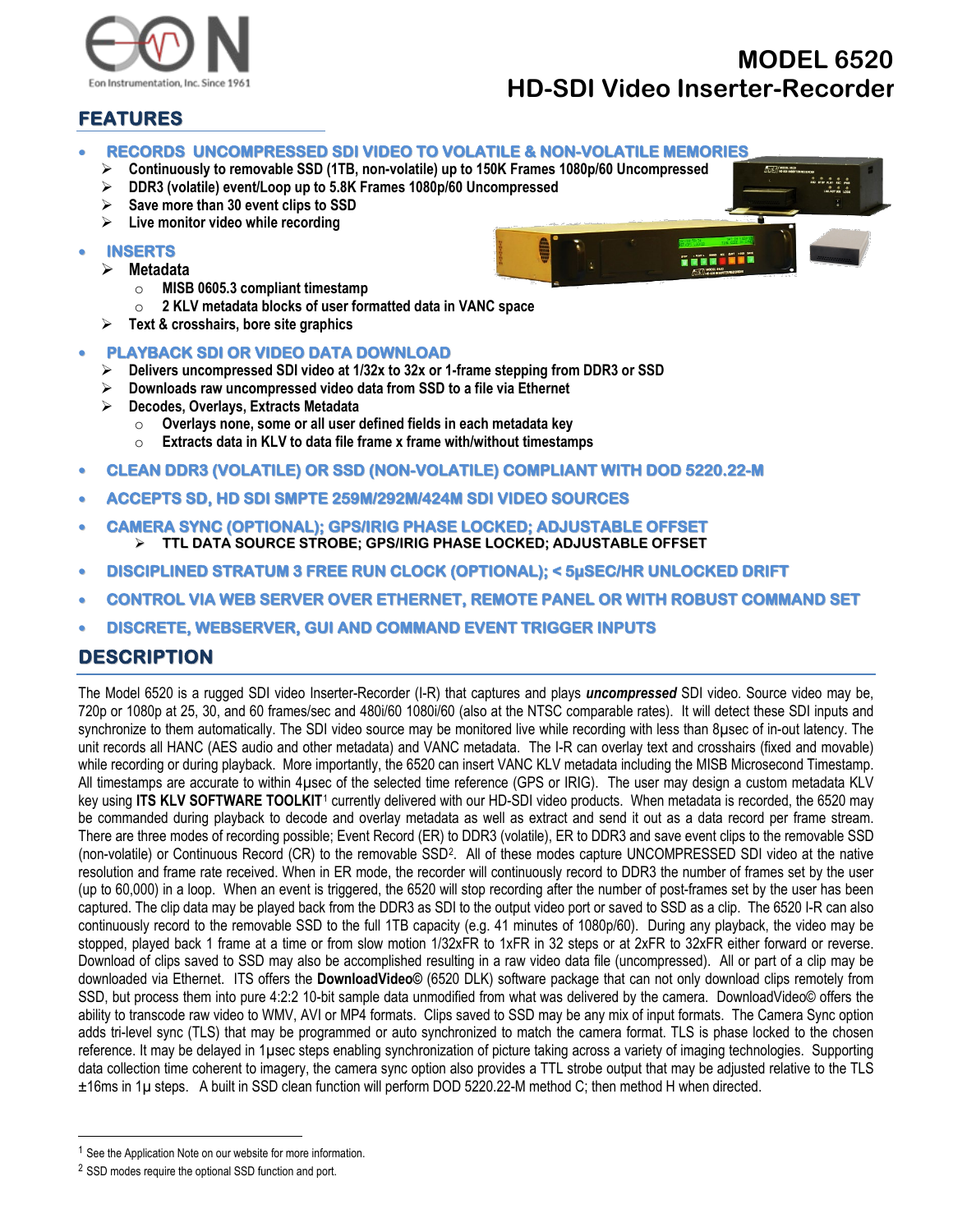

## **MODEL 6520 HD-SDI Video Inserter-Recorder**

## **FEATURES**

- **RECORDS UNCOMPRESSED SDI VIDEO TO VOLATILE & NON-VOLATILE MEMORIES**
	- **Continuously to removable SSD (1TB, non-volatile) up to 150K Frames 1080p/60 Uncompressed**
	- **DDR3 (volatile) event/Loop up to 5.8K Frames 1080p/60 Uncompressed**
	- **Save more than 30 event clips to SSD**
	- **Live monitor video while recording**
- **INSERTS**
	- **Metadata**
		- o **MISB 0605.3 compliant timestamp**
		- o **2 KLV metadata blocks of user formatted data in VANC space**
	- **Text & crosshairs, bore site graphics**

## • **PLAYBACK SDI OR VIDEO DATA DOWNLOAD**

- **Delivers uncompressed SDI video at 1/32x to 32x or 1-frame stepping from DDR3 or SSD**
- **Downloads raw uncompressed video data from SSD to a file via Ethernet**
- **Decodes, Overlays, Extracts Metadata**
	- o **Overlays none, some or all user defined fields in each metadata key**
	- Extracts data in KLV to data file frame x frame with/without timestamps
- **CLEAN DDR3 (VOLATILE) OR SSD (NON-VOLATILE) COMPLIANT WITH DOD 5220.22-M**
- **ACCEPTS SD, HD SDI SMPTE 259M/292M/424M SDI VIDEO SOURCES**
- **CAMERA SYNC (OPTIONAL); GPS/IRIG PHASE LOCKED; ADJUSTABLE OFFSET TTL DATA SOURCE STROBE; GPS/IRIG PHASE LOCKED; ADJUSTABLE OFFSET**
- **DISCIPLINED STRATUM 3 FREE RUN CLOCK (OPTIONAL); < 5µSEC/HR UNLOCKED DRIFT**
- **CONTROL VIA WEB SERVER OVER ETHERNET, REMOTE PANEL OR WITH ROBUST COMMAND SET**
- **DISCRETE, WEBSERVER, GUI AND COMMAND EVENT TRIGGER INPUTS**

## **DESCRIPTION**

The Model 6520 is a rugged SDI video Inserter-Recorder (I-R) that captures and plays *uncompressed* SDI video. Source video may be, 720p or 1080p at 25, 30, and 60 frames/sec and 480i/60 1080i/60 (also at the NTSC comparable rates). It will detect these SDI inputs and synchronize to them automatically. The SDI video source may be monitored live while recording with less than 8µsec of in-out latency. The unit records all HANC (AES audio and other metadata) and VANC metadata. The I-R can overlay text and crosshairs (fixed and movable) while recording or during playback. More importantly, the 6520 can insert VANC KLV metadata including the MISB Microsecond Timestamp. All timestamps are accurate to within 4µsec of the selected time reference (GPS or IRIG). The user may design a custom metadata KLV key using **ITS KLV SOFTWARE TOOLKIT**[1](#page-0-0) currently delivered with our HD-SDI video products. When metadata is recorded, the 6520 may be commanded during playback to decode and overlay metadata as well as extract and send it out as a data record per frame stream. There are three modes of recording possible; Event Record (ER) to DDR3 (volatile), ER to DDR3 and save event clips to the removable SSD (non-volatile) or Continuous Record (CR) to the removable SS[D2](#page-0-1). All of these modes capture UNCOMPRESSED SDI video at the native resolution and frame rate received. When in ER mode, the recorder will continuously record to DDR3 the number of frames set by the user (up to 60,000) in a loop. When an event is triggered, the 6520 will stop recording after the number of post-frames set by the user has been captured. The clip data may be played back from the DDR3 as SDI to the output video port or saved to SSD as a clip. The 6520 I-R can also continuously record to the removable SSD to the full 1TB capacity (e.g. 41 minutes of 1080p/60). During any playback, the video may be stopped, played back 1 frame at a time or from slow motion 1/32xFR to 1xFR in 32 steps or at 2xFR to 32xFR either forward or reverse. Download of clips saved to SSD may also be accomplished resulting in a raw video data file (uncompressed). All or part of a clip may be downloaded via Ethernet. ITS offers the **DownloadVideo©** (6520 DLK) software package that can not only download clips remotely from SSD, but process them into pure 4:2:2 10-bit sample data unmodified from what was delivered by the camera. DownloadVideo© offers the ability to transcode raw video to WMV, AVI or MP4 formats. Clips saved to SSD may be any mix of input formats. The Camera Sync option adds tri-level sync (TLS) that may be programmed or auto synchronized to match the camera format. TLS is phase locked to the chosen reference. It may be delayed in 1µsec steps enabling synchronization of picture taking across a variety of imaging technologies. Supporting data collection time coherent to imagery, the camera sync option also provides a TTL strobe output that may be adjusted relative to the TLS ±16ms in 1µ steps. A built in SSD clean function will perform DOD 5220.22-M method C; then method H when directed.



<span id="page-0-0"></span><sup>&</sup>lt;sup>1</sup> See the Application Note on our website for more information.

<span id="page-0-1"></span><sup>2</sup> SSD modes require the optional SSD function and port.